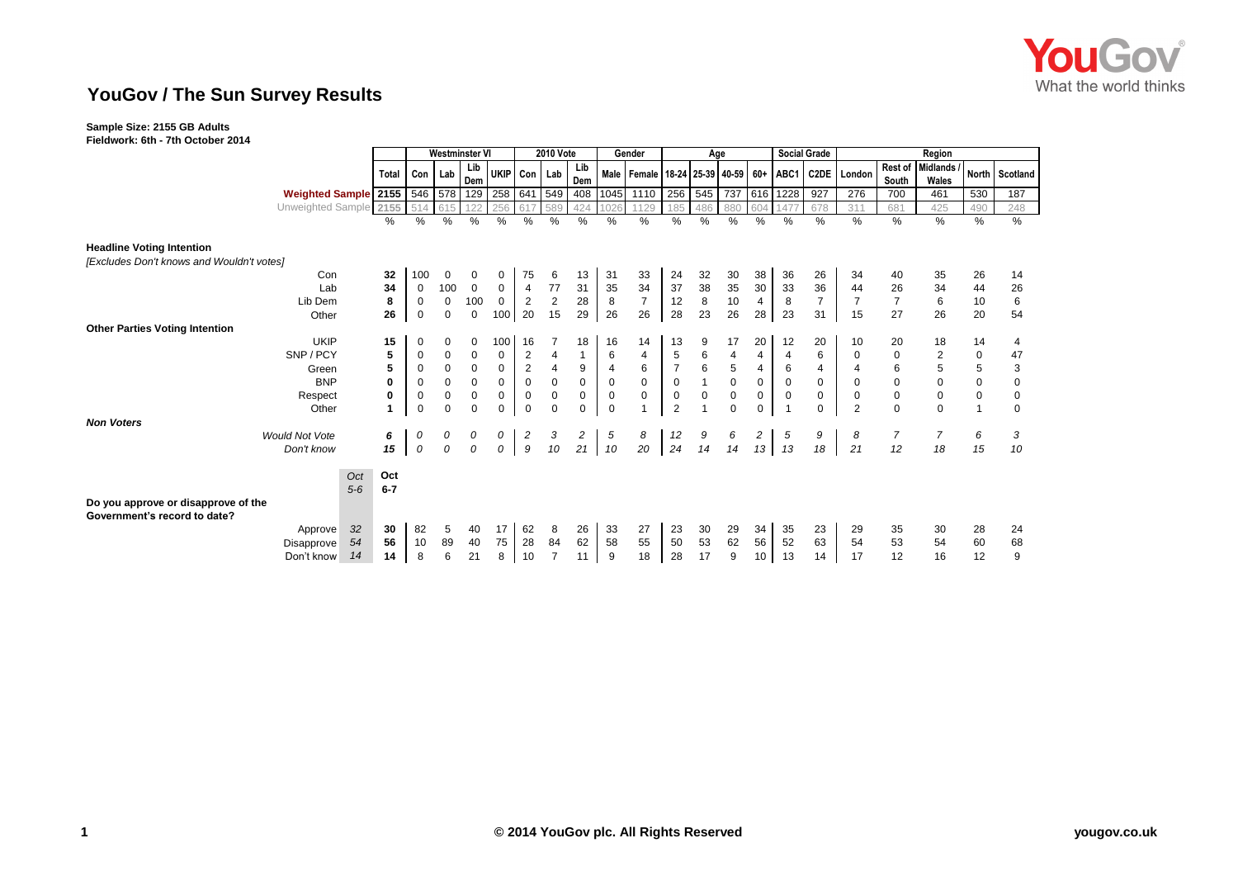

## **YouGov / The Sun Survey Results**

## **Sample Size: 2155 GB Adults**

|                                                                     |                  | <b>Westminster VI</b> |              |              |                  | <b>2010 Vote</b> |                |              |                 | Gender                                      | Age             |                                        |             |                | <b>Social Grade</b> |                | Region         |                  |                         |              |                |
|---------------------------------------------------------------------|------------------|-----------------------|--------------|--------------|------------------|------------------|----------------|--------------|-----------------|---------------------------------------------|-----------------|----------------------------------------|-------------|----------------|---------------------|----------------|----------------|------------------|-------------------------|--------------|----------------|
|                                                                     | Total            | Con                   | Lab          | Lib<br>Dem   | UKIP Con Lab     |                  |                | Lib<br>Dem   |                 | Male   Female   18-24   25-39   40-59   60+ |                 |                                        |             |                | ABC1                | <b>C2DE</b>    | London         | Rest of<br>South | Midlands /<br>Wales     |              | North Scotland |
| Weighted Sample 2155                                                |                  |                       |              | 546 578 129  | 258              | 641              | 549            | 408          | 1045            | 1110                                        |                 | 256 545                                |             |                | 737 616 1228        | 927            | 276            | 700              | 461                     | 530          | 187            |
| Unweighted Sample 2155                                              |                  | 514                   | 615          | 122          | 256              |                  | 589            | 424          | 02 <sub>0</sub> | 1129                                        | 185             | 486                                    | 880         | 604            | 147                 | 678            | 311            | 681              | 425                     | 490          | 248            |
|                                                                     | ℅                | %                     | $\%$         | %            | %                | %                | $\frac{1}{6}$  | $\%$         | %               | %                                           | %               | %                                      | %           | %              | %                   | %              | %              | %                | %                       | $\%$         | %              |
| <b>Headline Voting Intention</b>                                    |                  |                       |              |              |                  |                  |                |              |                 |                                             |                 |                                        |             |                |                     |                |                |                  |                         |              |                |
| [Excludes Don't knows and Wouldn't votes]                           |                  |                       |              |              |                  |                  |                |              |                 |                                             |                 |                                        |             |                |                     |                |                |                  |                         |              |                |
| Con                                                                 | 32               | 100                   | $\mathbf 0$  | 0            | 0                | 75               | 6              | 13           | 31              | 33                                          | 24              | 32                                     | 30          | 38             | 36                  | 26             | 34             | 40               | 35                      | 26           | 14             |
| Lab                                                                 | 34               | 0                     | 100          | $\mathbf 0$  | 0                | $\overline{4}$   | 77             | 31           | 35              | 34                                          | 37              | $\begin{array}{c} 38 \\ 8 \end{array}$ | 35          | 30             | 33                  | 36             | 44             | 26               | 34                      | 44           | 26             |
| Lib Dem                                                             | 8                | 0                     | $\mathbf 0$  | 100          | $\mathbf 0$      | 2                | $\overline{2}$ | 28           | 8               | $\overline{7}$                              | 12              |                                        | 10          | $\overline{4}$ | 8                   | $\overline{7}$ | $\overline{7}$ | $\overline{7}$   | 6                       | 10           | 6              |
| Other                                                               | 26               | $\mathbf 0$           | $\mathbf 0$  | $\mathbf 0$  | 100 <sup>1</sup> | 20               | 15             | 29           | 26              | 26                                          | 28              | 23                                     | 26          | 28             | 23                  | 31             | 15             | 27               | 26                      | 20           | 54             |
| <b>Other Parties Voting Intention</b>                               |                  |                       |              |              |                  |                  |                |              |                 |                                             |                 |                                        |             |                |                     |                |                |                  |                         |              |                |
| <b>UKIP</b>                                                         | 15               | 0                     | 0            | 0            | 100              | 16               |                | 18           | 16              | 14                                          | 13              | 9                                      | 17          | 20             | 12                  | 20             | 10             | 20               | 18                      | 14           | 4              |
| SNP/PCY                                                             | 5                | 0                     | $\pmb{0}$    | $\mathbf 0$  | 0                | $\overline{2}$   | 4              | $\mathbf{1}$ | 6               | 4                                           | 5               | 6                                      | 4           | $\overline{4}$ | 4                   | 6              | 0              | 0                | $\overline{\mathbf{c}}$ | $\pmb{0}$    | 47             |
| Green                                                               | 5                | 0                     | $\mathbf 0$  | $\mathsf 0$  | $\pmb{0}$        | $\sqrt{2}$       | 4              | 9            | $\overline{4}$  | 6                                           | $\overline{7}$  | $\,6\,$                                | 5           | $\overline{4}$ | 6                   | 4              | 4              | 6                | 5                       | 5            | 3              |
| <b>BNP</b>                                                          | 0                | $\mathbf 0$           | $\pmb{0}$    | $\mathsf 0$  | $\mathbf 0$      | $\mathbf 0$      | $\mathbf 0$    | $\mathbf 0$  | $\mathbf 0$     | $\mathbf 0$                                 | $\mathbf 0$     | $\mathbf{1}$                           | $\pmb{0}$   | $\mathbf 0$    | $\mathbf 0$         | $\mathbf 0$    | $\mathbf 0$    | $\pmb{0}$        | $\Omega$                | $\mathbf 0$  | $\mathbf 0$    |
| Respect                                                             | 0                | 0                     | $\pmb{0}$    | $\mathbf 0$  | $\mathsf 0$      | 0                | 0              | 0            | 0               | 0                                           | 0               | $\boldsymbol{0}$                       | 0           | 0              | 0                   | 0              | 0              | $\pmb{0}$        | 0                       | $\mathbf 0$  | 0              |
| Other                                                               |                  | $\mathbf 0$           | $\mathbf 0$  | $\mathbf 0$  | $\mathbf 0$      | $\mathbf 0$      | $\Omega$       | $\mathbf 0$  | $\mathbf 0$     |                                             | $\overline{2}$  | $\overline{1}$                         | $\mathbf 0$ | $\mathbf 0$    | $\overline{1}$      | $\mathbf 0$    | $\overline{2}$ | $\mathbf 0$      | $\Omega$                | $\mathbf{1}$ | $\mathbf 0$    |
| <b>Non Voters</b>                                                   |                  |                       |              |              |                  |                  |                |              |                 |                                             |                 |                                        |             |                |                     |                |                |                  |                         |              |                |
| <b>Would Not Vote</b>                                               | 6                | 0                     | 0            | 0            | 0                | 2                | 3              | 2            | 5               | 8                                           | $\frac{12}{24}$ | 9                                      | 6           | $\overline{c}$ | 5                   | 9              | 8              | $\overline{7}$   | 7                       | 6            | 3              |
| Don't know                                                          | 15               | 0                     | $\mathcal O$ | $\mathcal O$ | $\mathcal{O}$    | $\boldsymbol{g}$ | 10             | 21           | 10              | 20                                          |                 | 14                                     | 14          | 13             | 13                  | 18             | 21             | 12               | 18                      | 15           | 10             |
|                                                                     | Oct<br>Oct       |                       |              |              |                  |                  |                |              |                 |                                             |                 |                                        |             |                |                     |                |                |                  |                         |              |                |
|                                                                     | $6 - 7$<br>$5-6$ |                       |              |              |                  |                  |                |              |                 |                                             |                 |                                        |             |                |                     |                |                |                  |                         |              |                |
| Do you approve or disapprove of the<br>Government's record to date? |                  |                       |              |              |                  |                  |                |              |                 |                                             |                 |                                        |             |                |                     |                |                |                  |                         |              |                |
| Approve                                                             | 32<br>30         | 82                    | 5            | 40           | 17               | 62               | 8              | 26           | 33              | 27                                          | 23              | 30                                     | 29          | 34             | 35                  | 23             | 29             | 35               | 30                      | 28           | 24             |
| Disapprove                                                          | 54<br>56         | 10                    | 89           | 40           | 75               | 28               | 84             | 62           | 58              | 55                                          | 50              | 53                                     | 62          | 56             | 52                  | 63             | 54             | 53               | 54                      | 60           | 68             |
| Don't know                                                          | 14<br>14         | 8                     | 6            | 21           | 8                | 10               |                | 11           | 9               | 18                                          | 28              | 17                                     | 9           | 10             | 13                  | 14             | 17             | 12               | 16                      | 12           | 9              |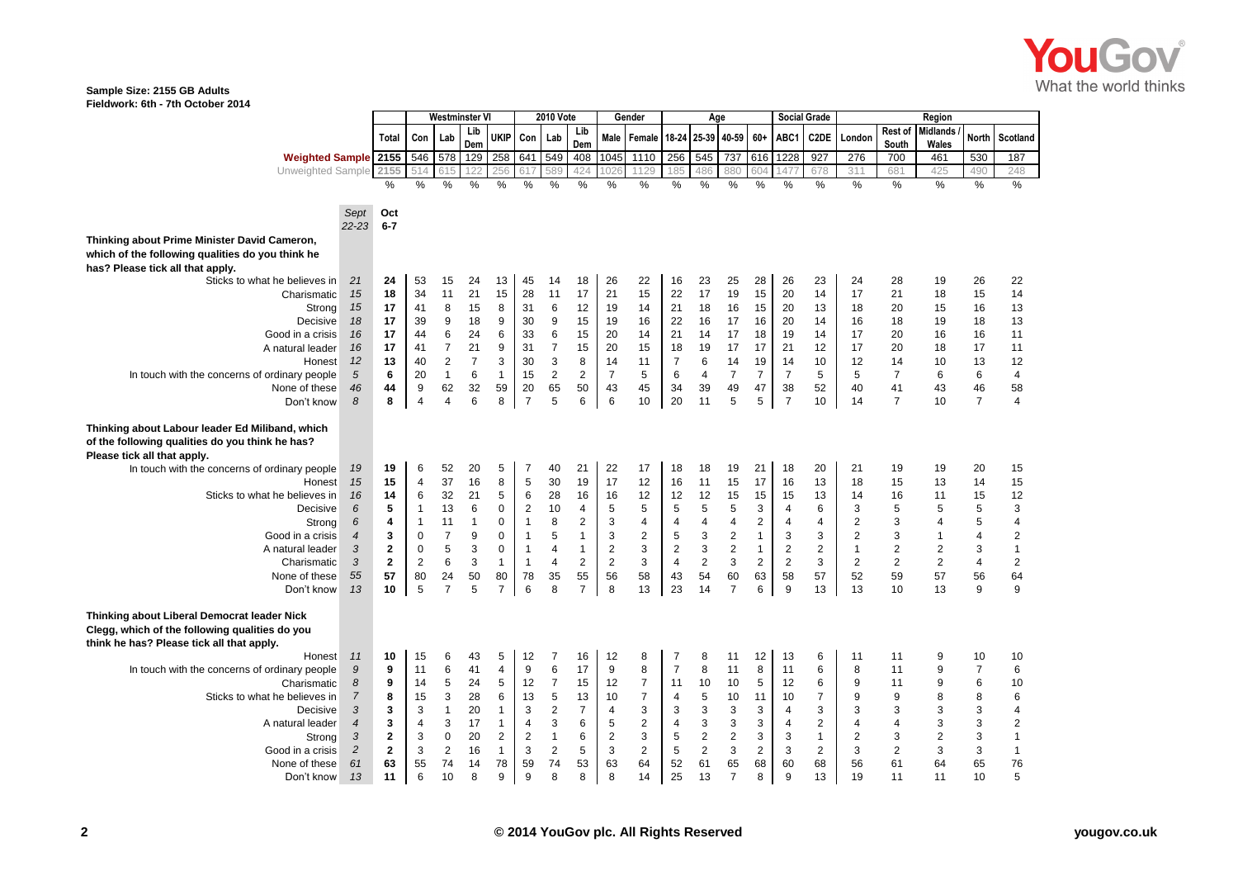

## **Sample Size: 2155 GB Adults Fieldwork: 6th - 7th October 2014**

|                                                                                               |                |                |                  | Westminster VI   |                |                         |                |                | <b>2010 Vote</b> | Gender           |                         | Age            |                           |                         |                |                         | <b>Social Grade</b> |                         |                  | Region                   |                |                         |  |
|-----------------------------------------------------------------------------------------------|----------------|----------------|------------------|------------------|----------------|-------------------------|----------------|----------------|------------------|------------------|-------------------------|----------------|---------------------------|-------------------------|----------------|-------------------------|---------------------|-------------------------|------------------|--------------------------|----------------|-------------------------|--|
|                                                                                               |                | Total          | Con              | Lab              | Lib<br>Dem     | <b>UKIP</b>             | Con            | Lab            | Lib<br>Dem       | Male             | Female                  |                | 18-24 25-39 40-59         |                         | $60+$          | ABC1                    | C2DE                | London                  | Rest of<br>South | <b>Midlands</b><br>Wales | <b>North</b>   | <b>Scotland</b>         |  |
| <b>Weighted Sample 2155</b>                                                                   |                |                | 546              | 578              | 129            | 258 641 549             |                |                | 408              | 1045             | 1110                    | 256            | 545                       | 737                     | 616            | 1228                    | 927                 | 276                     | 700              | 461                      | 530            | 187                     |  |
| Unweighted Sample 2155                                                                        |                |                |                  |                  | 122            |                         |                | 589            | 424              | 026              | 129                     | 185            | 486                       | 880                     | 604            | 47                      | 678                 | 311                     | 681              | 425                      | 490            | 248                     |  |
|                                                                                               |                | %              | %                | %                | %              | %                       | %              | %              | %                | %                | %                       | %              | %                         | %                       | %              | %                       | %                   | %                       | %                | %                        | %              | $\frac{0}{2}$           |  |
|                                                                                               |                |                |                  |                  |                |                         |                |                |                  |                  |                         |                |                           |                         |                |                         |                     |                         |                  |                          |                |                         |  |
| Sept                                                                                          | $22 - 23$      | Oct<br>$6 - 7$ |                  |                  |                |                         |                |                |                  |                  |                         |                |                           |                         |                |                         |                     |                         |                  |                          |                |                         |  |
| Thinking about Prime Minister David Cameron,                                                  |                |                |                  |                  |                |                         |                |                |                  |                  |                         |                |                           |                         |                |                         |                     |                         |                  |                          |                |                         |  |
| which of the following qualities do you think he                                              |                |                |                  |                  |                |                         |                |                |                  |                  |                         |                |                           |                         |                |                         |                     |                         |                  |                          |                |                         |  |
| has? Please tick all that apply.                                                              |                |                |                  |                  |                |                         |                |                |                  |                  |                         |                |                           |                         |                |                         |                     |                         |                  |                          |                |                         |  |
| 21<br>Sticks to what he believes in                                                           |                | 24             | 53               | 15               | 24             | 13                      | 45             | 14             | 18               | 26               | 22                      | 16             | 23                        | 25                      | 28             | 26                      | 23                  | 24                      | 28               | 19                       | 26             | 22                      |  |
| Charismatic                                                                                   | 15             | 18             | 34               | 11               | 21             | 15                      | 28             | 11             | 17               | 21               | 15                      | 22             | 17                        | 19                      | 15             | 20                      | 14                  | 17                      | 21               | 18                       | 15             | 14                      |  |
| Strong                                                                                        | 15             | 17             | 41               | 8                | 15             | 8                       | 31             | 6              | 12               | 19               | 14                      | 21             | 18                        | 16                      | 15             | 20                      | 13                  | 18                      | 20               | 15                       | 16             | 13                      |  |
| Decisive                                                                                      | 18             | 17             | 39               | 9                | 18             | 9                       | 30             | 9              | 15               | 19               | 16                      | 22             | 16                        | 17                      | 16             | 20                      | 14                  | 16                      | 18               | 19                       | 18             | 13                      |  |
| Good in a crisis                                                                              | 16             | 17             | 44               | 6                | 24             | 6                       | 33             | 6              | 15               | 20               | 14                      | 21             | 14                        | 17                      | 18             | 19                      | 14                  | 17                      | 20               | 16                       | 16             | 11                      |  |
| A natural leader                                                                              | 16             | 17             | 41               | $\overline{7}$   | 21             | 9                       | 31             | $\overline{7}$ | 15               | 20               | 15                      | 18             | 19                        | 17                      | 17             | 21                      | 12                  | 17                      | 20               | 18                       | 17             | 11                      |  |
| Honest                                                                                        | 12             | 13             | 40               | $\boldsymbol{2}$ | $\overline{7}$ | 3                       | 30             | 3              | 8                | 14               | 11                      | $\overline{7}$ | 6                         | 14                      | 19             | 14                      | 10                  | 12                      | 14               | 10                       | 13             | 12                      |  |
| In touch with the concerns of ordinary people                                                 | 5              | 6              | 20               | $\mathbf{1}$     | 6              | $\mathbf{1}$            | 15             | 2              | $\overline{2}$   | $\overline{7}$   | 5                       | 6              | 4                         | $\overline{7}$          | $\overline{7}$ | $\overline{7}$          | 5                   | 5                       | $\overline{7}$   | 6                        | 6              | $\overline{\mathbf{4}}$ |  |
| None of these                                                                                 | 46             | 44             | $\boldsymbol{9}$ | 62               | 32             | 59                      | 20             | 65             | 50               | 43               | 45                      | 34             | 39                        | 49                      | 47             | 38                      | 52                  | 40                      | 41               | 43                       | 46             | 58                      |  |
| 8<br>Don't know                                                                               |                | 8              | $\overline{4}$   | $\overline{4}$   | 6              | 8                       | $\overline{7}$ | 5              | 6                | 6                | 10                      | 20             | 11                        | 5                       | 5              | $\overline{7}$          | 10                  | 14                      | $\overline{7}$   | 10                       | $\overline{7}$ | $\overline{4}$          |  |
| Thinking about Labour leader Ed Miliband, which                                               |                |                |                  |                  |                |                         |                |                |                  |                  |                         |                |                           |                         |                |                         |                     |                         |                  |                          |                |                         |  |
| of the following qualities do you think he has?                                               |                |                |                  |                  |                |                         |                |                |                  |                  |                         |                |                           |                         |                |                         |                     |                         |                  |                          |                |                         |  |
| Please tick all that apply.                                                                   |                |                |                  |                  |                |                         |                |                |                  |                  |                         |                |                           |                         |                |                         |                     |                         |                  |                          |                |                         |  |
| In touch with the concerns of ordinary people                                                 | 19             | 19             | 6                | 52               | 20             | 5                       | 7              | 40             | 21               | 22               | 17                      | 18             | 18                        | 19                      | 21             | 18                      | 20                  | 21                      | 19               | 19                       | 20             | 15                      |  |
| Honest                                                                                        | 15             | 15             | 4                | 37               | 16             | 8                       | 5              | 30             | 19               | 17               | 12                      | 16             | 11                        | 15                      | 17             | 16                      | 13                  | 18                      | 15               | 13                       | 14             | 15                      |  |
| Sticks to what he believes in                                                                 | 16             | 14             | 6                | 32               | 21             | 5                       | 6              | 28             | 16               | 16               | 12                      | 12             | 12                        | 15                      | 15             | 15                      | 13                  | 14                      | 16               | 11                       | 15             | 12                      |  |
| Decisive                                                                                      | 6              | 5              | $\mathbf{1}$     | 13               | 6              | 0                       | $\overline{2}$ | 10             | $\overline{4}$   | 5                | 5                       | 5              | 5                         | 5                       | 3              | 4                       | 6                   | 3                       | 5                | 5                        | 5              | 3                       |  |
| Strong                                                                                        | 6              | 4              | $\mathbf{1}$     | 11               | $\mathbf{1}$   | 0                       | $\mathbf{1}$   | 8              | $\overline{2}$   | 3                | 4                       | 4              | 4                         | $\overline{\mathbf{4}}$ | $\sqrt{2}$     | 4                       | 4                   | $\overline{\mathbf{c}}$ | 3                | 4                        | 5              | 4                       |  |
| Good in a crisis                                                                              | $\overline{4}$ | 3              | $\mathbf 0$      | $\overline{7}$   | 9              | $\mathbf 0$             | $\mathbf{1}$   | 5              | $\mathbf{1}$     | 3                | $\sqrt{2}$              | 5              | $\ensuremath{\mathsf{3}}$ | $\sqrt{2}$              | $\mathbf{1}$   | 3                       | 3                   | $\boldsymbol{2}$        | 3                | $\mathbf{1}$             | 4              | $\overline{c}$          |  |
| A natural leader                                                                              | 3              | $\mathbf{2}$   | 0                | 5                | $\sqrt{3}$     | $\mathbf 0$             | $\mathbf{1}$   | $\overline{4}$ | $\mathbf{1}$     | $\sqrt{2}$       | 3                       | $\overline{2}$ | $\ensuremath{\mathsf{3}}$ | $\sqrt{2}$              | $\mathbf{1}$   | $\overline{\mathbf{c}}$ | $\overline{2}$      | $\overline{1}$          | $\overline{2}$   | $\overline{\mathbf{c}}$  | 3              | $\mathbf{1}$            |  |
| Charismatic                                                                                   | 3              | $\overline{2}$ | $\overline{2}$   | 6                | 3              | $\overline{1}$          | $\mathbf{1}$   | $\overline{4}$ | $\overline{2}$   | $\sqrt{2}$       | 3                       | $\overline{4}$ | $\overline{2}$            | 3                       | $\overline{2}$ | $\overline{2}$          | 3                   | $\overline{2}$          | $\overline{2}$   | $\sqrt{2}$               | $\overline{4}$ | $\overline{2}$          |  |
| None of these                                                                                 | 55             | 57             | 80               | 24               | 50             | 80                      | 78             | 35             | 55               | 56               | 58                      | 43             | 54                        | 60                      | 63             | 58                      | 57                  | 52                      | 59               | 57                       | 56             | 64                      |  |
| Don't know                                                                                    | 13             | 10             | 5                | $\overline{7}$   | 5              | $\overline{7}$          | 6              | 8              | $\overline{7}$   | 8                | 13                      | 23             | 14                        | $\overline{7}$          | 6              | 9                       | 13                  | 13                      | 10               | 13                       | 9              | 9                       |  |
|                                                                                               |                |                |                  |                  |                |                         |                |                |                  |                  |                         |                |                           |                         |                |                         |                     |                         |                  |                          |                |                         |  |
| Thinking about Liberal Democrat leader Nick<br>Clegg, which of the following qualities do you |                |                |                  |                  |                |                         |                |                |                  |                  |                         |                |                           |                         |                |                         |                     |                         |                  |                          |                |                         |  |
| think he has? Please tick all that apply.                                                     |                |                |                  |                  |                |                         |                |                |                  |                  |                         |                |                           |                         |                |                         |                     |                         |                  |                          |                |                         |  |
| Honest                                                                                        | 11             | 10             | 15               | 6                | 43             | 5                       | 12             | 7              | 16               | 12               | 8                       | 7              | 8                         | 11                      | 12             | 13                      | 6                   | 11                      | 11               | 9                        | 10             | 10                      |  |
| In touch with the concerns of ordinary people                                                 | 9              | 9              | 11               | 6                | 41             | $\overline{4}$          | 9              | 6              | 17               | 9                | 8                       | $\overline{7}$ | 8                         | 11                      | 8              | 11                      | 6                   | 8                       | 11               | 9                        | $\overline{7}$ | 6                       |  |
| Charismatic                                                                                   | 8              | 9              | 14               | 5                | 24             | $\sqrt{5}$              | 12             | $\overline{7}$ | 15               | 12               | $\overline{\mathbf{7}}$ | 11             | 10                        | 10                      | $\sqrt{5}$     | 12                      | 6                   | 9                       | 11               | 9                        | 6              | 10                      |  |
| Sticks to what he believes in                                                                 | $\overline{7}$ | 8              | 15               | 3                | 28             | 6                       | 13             | 5              | 13               | 10               | $\overline{7}$          | 4              | $\sqrt{5}$                | 10                      | 11             | 10                      | $\overline{7}$      | 9                       | 9                | 8                        | 8              | 6                       |  |
| Decisive                                                                                      | 3              | 3              | 3                | $\mathbf{1}$     | 20             | $\overline{1}$          | 3              | $\sqrt{2}$     | $\overline{7}$   | $\overline{4}$   | 3                       | 3              | 3                         | 3                       | 3              | 4                       | 3                   | 3                       | 3                | 3                        | 3              | 4                       |  |
| A natural leader                                                                              | $\overline{4}$ | 3              | 4                | 3                | 17             | $\overline{1}$          | $\overline{4}$ | 3              | 6                | 5                | $\overline{c}$          | 4              | $\ensuremath{\mathsf{3}}$ | 3                       | 3              | 4                       | $\overline{2}$      | 4                       | $\overline{4}$   | 3                        | 3              | $\overline{2}$          |  |
| Strong                                                                                        | 3              | $\mathbf 2$    | 3                | $\pmb{0}$        | 20             | $\overline{\mathbf{c}}$ | $\overline{2}$ | $\mathbf{1}$   | 6                | $\boldsymbol{2}$ | 3                       | 5              | $\sqrt{2}$                | $\overline{2}$          | 3              | 3                       | $\mathbf{1}$        | $\overline{2}$          | 3                | 2                        | 3              | $\mathbf{1}$            |  |
| $\overline{2}$<br>Good in a crisis                                                            |                | $\mathbf{2}$   | 3                | $\overline{2}$   | 16             | $\overline{1}$          | 3              | $\sqrt{2}$     | 5                | $\sqrt{3}$       | $\overline{c}$          | 5              | $\sqrt{2}$                | 3                       | $\sqrt{2}$     | 3                       | $\overline{2}$      | 3                       | $\sqrt{2}$       | 3                        | 3              | $\mathbf{1}$            |  |
| 61<br>None of these                                                                           |                | 63             | 55               | 74               | 14             | 78                      | 59             | 74             | 53               | 63               | 64                      | 52             | 61                        | 65                      | 68             | 60                      | 68                  | 56                      | 61               | 64                       | 65             | 76                      |  |
| Don't know                                                                                    | 13             | 11             | 6                | 10               | 8              | 9                       | 9              | 8              | 8                | 8                | 14                      | 25             | 13                        | $\overline{7}$          | 8              | 9                       | 13                  | 19                      | 11               | 11                       | 10             | 5                       |  |